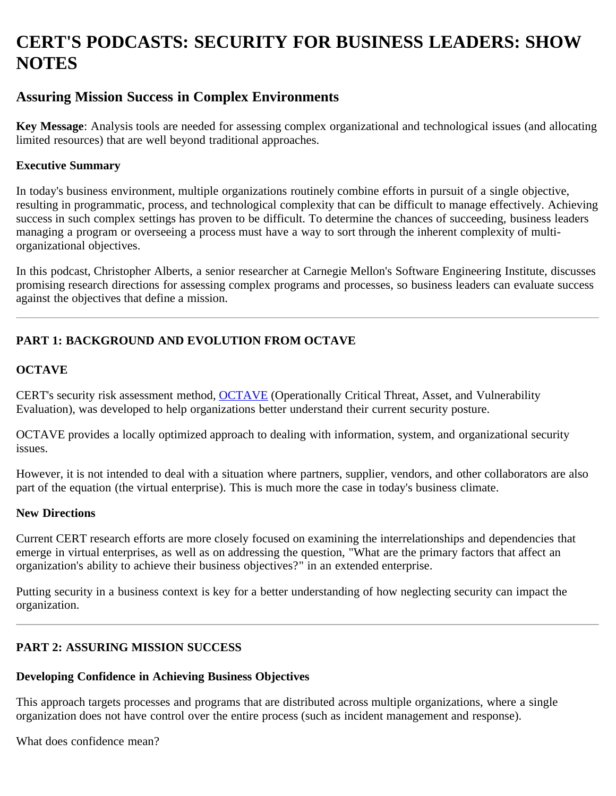# **CERT'S PODCASTS: SECURITY FOR BUSINESS LEADERS: SHOW NOTES**

### **Assuring Mission Success in Complex Environments**

**Key Message**: Analysis tools are needed for assessing complex organizational and technological issues (and allocating limited resources) that are well beyond traditional approaches.

#### **Executive Summary**

In today's business environment, multiple organizations routinely combine efforts in pursuit of a single objective, resulting in programmatic, process, and technological complexity that can be difficult to manage effectively. Achieving success in such complex settings has proven to be difficult. To determine the chances of succeeding, business leaders managing a program or overseeing a process must have a way to sort through the inherent complexity of multiorganizational objectives.

In this podcast, Christopher Alberts, a senior researcher at Carnegie Mellon's Software Engineering Institute, discusses promising research directions for assessing complex programs and processes, so business leaders can evaluate success against the objectives that define a mission.

## **PART 1: BACKGROUND AND EVOLUTION FROM OCTAVE**

### **OCTAVE**

CERT's security risk assessment method, [OCTAVE](http://www.cert.org/octave/) (Operationally Critical Threat, Asset, and Vulnerability Evaluation), was developed to help organizations better understand their current security posture.

OCTAVE provides a locally optimized approach to dealing with information, system, and organizational security issues.

However, it is not intended to deal with a situation where partners, supplier, vendors, and other collaborators are also part of the equation (the virtual enterprise). This is much more the case in today's business climate.

#### **New Directions**

Current CERT research efforts are more closely focused on examining the interrelationships and dependencies that emerge in virtual enterprises, as well as on addressing the question, "What are the primary factors that affect an organization's ability to achieve their business objectives?" in an extended enterprise.

Putting security in a business context is key for a better understanding of how neglecting security can impact the organization.

### **PART 2: ASSURING MISSION SUCCESS**

#### **Developing Confidence in Achieving Business Objectives**

This approach targets processes and programs that are distributed across multiple organizations, where a single organization does not have control over the entire process (such as incident management and response).

What does confidence mean?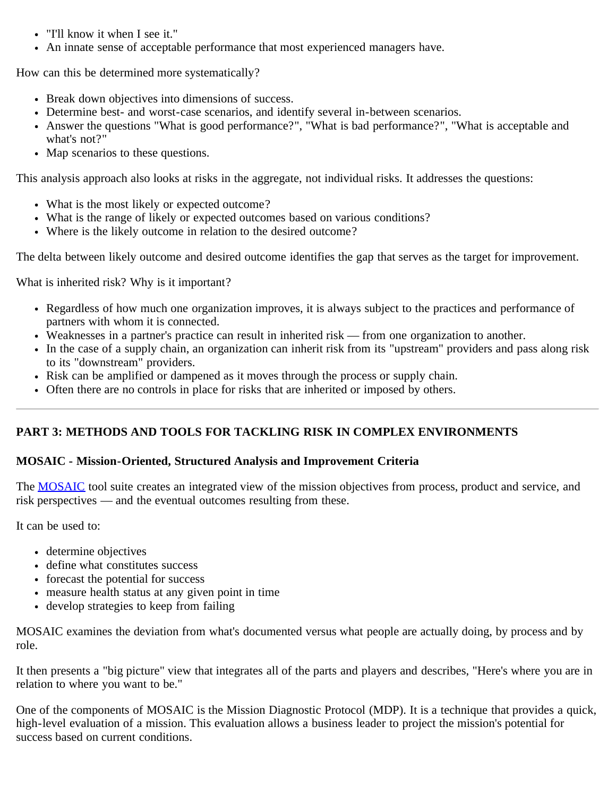- "I'll know it when I see it."
- An innate sense of acceptable performance that most experienced managers have.

How can this be determined more systematically?

- Break down objectives into dimensions of success.
- Determine best- and worst-case scenarios, and identify several in-between scenarios.
- Answer the questions "What is good performance?", "What is bad performance?", "What is acceptable and what's not?"
- Map scenarios to these questions.

This analysis approach also looks at risks in the aggregate, not individual risks. It addresses the questions:

- What is the most likely or expected outcome?
- What is the range of likely or expected outcomes based on various conditions?
- Where is the likely outcome in relation to the desired outcome?

The delta between likely outcome and desired outcome identifies the gap that serves as the target for improvement.

What is inherited risk? Why is it important?

- Regardless of how much one organization improves, it is always subject to the practices and performance of partners with whom it is connected.
- Weaknesses in a partner's practice can result in inherited risk from one organization to another.
- In the case of a supply chain, an organization can inherit risk from its "upstream" providers and pass along risk to its "downstream" providers.
- Risk can be amplified or dampened as it moves through the process or supply chain.
- Often there are no controls in place for risks that are inherited or imposed by others.

### **PART 3: METHODS AND TOOLS FOR TACKLING RISK IN COMPLEX ENVIRONMENTS**

#### **MOSAIC - Mission-Oriented, Structured Analysis and Improvement Criteria**

The [MOSAIC](http://www.sei.cmu.edu/library/abstracts/reports/07tn008.cfm) tool suite creates an integrated view of the mission objectives from process, product and service, and risk perspectives — and the eventual outcomes resulting from these.

It can be used to:

- determine objectives
- define what constitutes success
- forecast the potential for success
- measure health status at any given point in time
- develop strategies to keep from failing

MOSAIC examines the deviation from what's documented versus what people are actually doing, by process and by role.

It then presents a "big picture" view that integrates all of the parts and players and describes, "Here's where you are in relation to where you want to be."

One of the components of MOSAIC is the Mission Diagnostic Protocol (MDP). It is a technique that provides a quick, high-level evaluation of a mission. This evaluation allows a business leader to project the mission's potential for success based on current conditions.